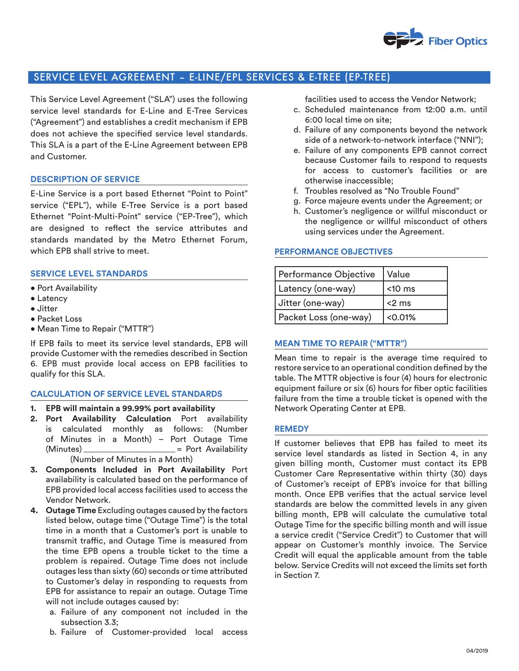

# SERVICE LEVEL AGREEMENT – E-LINE/EPL SERVICES & E-TREE (EP-TREE)

This Service Level Agreement ("SLA") uses the following service level standards for E-Line and E-Tree Services ("Agreement") and establishes a credit mechanism if EPB does not achieve the specified service level standards. This SLA is a part of the E-Line Agreement between EPB and Customer.

## **DESCRIPTION OF SERVICE**

E-Line Service is a port based Ethernet "Point to Point" service ("EPL"), while E-Tree Service is a port based Ethernet "Point-Multi-Point" service ("EP-Tree"), which are designed to reflect the service attributes and standards mandated by the Metro Ethernet Forum, which EPB shall strive to meet.

## **SERVICE LEVEL STANDARDS**

- Port Availability
- Latency
- Jitter
- Packet Loss
- Mean Time to Repair ("MTTR")

If EPB fails to meet its service level standards, EPB will provide Customer with the remedies described in Section 6. EPB must provide local access on EPB facilities to qualify for this SLA.

## **CALCULATION OF SERVICE LEVEL STANDARDS**

- **1. EPB will maintain a 99.99% port availability**
- **2. Port Availability Calculation** Port availability is calculated monthly as follows: (Number of Minutes in a Month) – Port Outage Time  $(Minutes)$  = Port Availability (Number of Minutes in a Month)
- **3. Components Included in Port Availability** Port availability is calculated based on the performance of EPB provided local access facilities used to access the Vendor Network.
- **4. Outage Time** Excluding outages caused by the factors listed below, outage time ("Outage Time") is the total time in a month that a Customer's port is unable to transmit traffic, and Outage Time is measured from the time EPB opens a trouble ticket to the time a problem is repaired. Outage Time does not include outages less than sixty (60) seconds or time attributed to Customer's delay in responding to requests from EPB for assistance to repair an outage. Outage Time will not include outages caused by:
	- a. Failure of any component not included in the subsection 3.3;
	- b. Failure of Customer-provided local access

facilities used to access the Vendor Network;

- c. Scheduled maintenance from 12:00 a.m. until 6:00 local time on site;
- d. Failure of any components beyond the network side of a network-to-network interface ("NNI");
- e. Failure of any components EPB cannot correct because Customer fails to respond to requests for access to customer's facilities or are otherwise inaccessible;
- f. Troubles resolved as "No Trouble Found"
- g. Force majeure events under the Agreement; or
- h. Customer's negligence or willful misconduct or the negligence or willful misconduct of others using services under the Agreement.

#### **PERFORMANCE OBJECTIVES**

| Performance Objective | Value     |
|-----------------------|-----------|
| Latency (one-way)     | $<$ 10 ms |
| Jitter (one-way)      | $<$ 2 ms  |
| Packet Loss (one-way) | < 0.01%   |

## **MEAN TIME TO REPAIR ("MTTR")**

Mean time to repair is the average time required to restore service to an operational condition defined by the table. The MTTR objective is four (4) hours for electronic equipment failure or six (6) hours for fiber optic facilities failure from the time a trouble ticket is opened with the Network Operating Center at EPB.

#### **REMEDY**

If customer believes that EPB has failed to meet its service level standards as listed in Section 4, in any given billing month, Customer must contact its EPB Customer Care Representative within thirty (30) days of Customer's receipt of EPB's invoice for that billing month. Once EPB verifies that the actual service level standards are below the committed levels in any given billing month, EPB will calculate the cumulative total Outage Time for the specific billing month and will issue a service credit ("Service Credit") to Customer that will appear on Customer's monthly invoice. The Service Credit will equal the applicable amount from the table below. Service Credits will not exceed the limits set forth in Section 7.